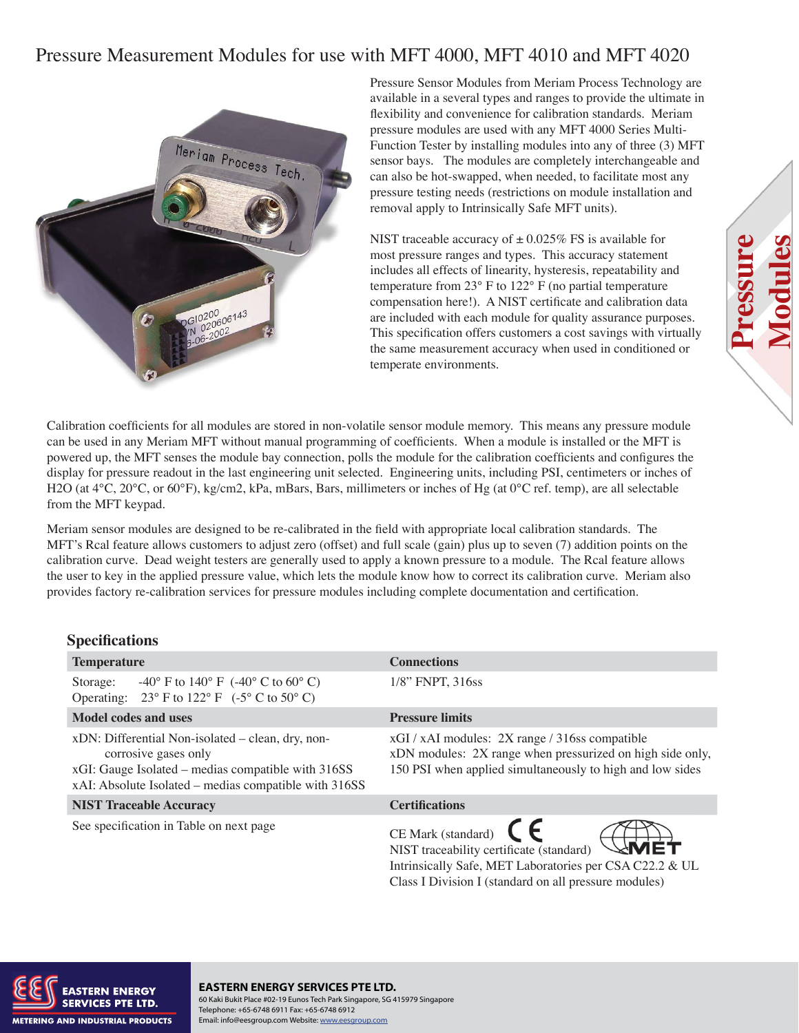# Pressure Measurement Modules for use with MFT 4000, MFT 4010 and MFT 4020



Pressure Sensor Modules from Meriam Process Technology are available in a several types and ranges to provide the ultimate in flexibility and convenience for calibration standards. Meriam pressure modules are used with any MFT 4000 Series Multi-Function Tester by installing modules into any of three (3) MFT sensor bays. The modules are completely interchangeable and can also be hot-swapped, when needed, to facilitate most any pressure testing needs (restrictions on module installation and removal apply to Intrinsically Safe MFT units).

NIST traceable accuracy of  $\pm$  0.025% FS is available for most pressure ranges and types. This accuracy statement includes all effects of linearity, hysteresis, repeatability and temperature from 23° F to 122° F (no partial temperature compensation here!). A NIST certificate and calibration data are included with each module for quality assurance purposes. This specification offers customers a cost savings with virtually the same measurement accuracy when used in conditioned or temperate environments.

**Pressure**

**ressur** 

**Modules**

Calibration coefficients for all modules are stored in non-volatile sensor module memory. This means any pressure module can be used in any Meriam MFT without manual programming of coefficients. When a module is installed or the MFT is powered up, the MFT senses the module bay connection, polls the module for the calibration coefficients and configures the display for pressure readout in the last engineering unit selected. Engineering units, including PSI, centimeters or inches of H2O (at 4<sup>o</sup>C, 20<sup>o</sup>C, or 60<sup>o</sup>F), kg/cm2, kPa, mBars, Bars, millimeters or inches of Hg (at 0<sup>o</sup>C ref. temp), are all selectable from the MFT keypad.

Meriam sensor modules are designed to be re-calibrated in the field with appropriate local calibration standards. The MFT's Rcal feature allows customers to adjust zero (offset) and full scale (gain) plus up to seven (7) addition points on the calibration curve. Dead weight testers are generally used to apply a known pressure to a module. The Rcal feature allows the user to key in the applied pressure value, which lets the module know how to correct its calibration curve. Meriam also provides factory re-calibration services for pressure modules including complete documentation and certification.

#### **Specifications**

| <b>Temperature</b>                                                                                                                                                                       | <b>Connections</b>                                                                                                                                                       |  |  |
|------------------------------------------------------------------------------------------------------------------------------------------------------------------------------------------|--------------------------------------------------------------------------------------------------------------------------------------------------------------------------|--|--|
| -40° F to 140° F $(-40^{\circ}$ C to 60° C)<br>Storage:<br>Operating: $23^{\circ}$ F to $122^{\circ}$ F $(-5^{\circ}$ C to $50^{\circ}$ C)                                               | $1/8$ " FNPT, 316ss                                                                                                                                                      |  |  |
| Model codes and uses                                                                                                                                                                     | <b>Pressure limits</b>                                                                                                                                                   |  |  |
| xDN: Differential Non-isolated – clean, dry, non-<br>corrosive gases only<br>xGI: Gauge Isolated – medias compatible with 316SS<br>xAI: Absolute Isolated – medias compatible with 316SS | xGI / xAI modules: 2X range / 316ss compatible<br>xDN modules: 2X range when pressurized on high side only,<br>150 PSI when applied simultaneously to high and low sides |  |  |
| <b>NIST Traceable Accuracy</b>                                                                                                                                                           | <b>Certifications</b>                                                                                                                                                    |  |  |
| See specification in Table on next page                                                                                                                                                  | $CE$ Mark (standard) $CE$<br>NIST traceability certificate (standard)                                                                                                    |  |  |

Intrinsically Safe, MET Laboratories per CSA C22.2 & UL Class I Division I (standard on all pressure modules)



your Complete Solution (1999) and the solution of the solution (1999) and the solution (1999) and the solution<br>The solution of the solution (1999) and the solution (1999) and the solution (1999) and the solution (1999) an **EASTERN ENERGY SERVICES PTE LTD.** 60 Kaki Bukit Place #02-19 Eunos Tech Park Singapore, SG 415979 Singapore Telephone: +65-6748 6911 Fax: +65-6748 6912 Email: info@eesgroup.com Website: www.eesgroup.com